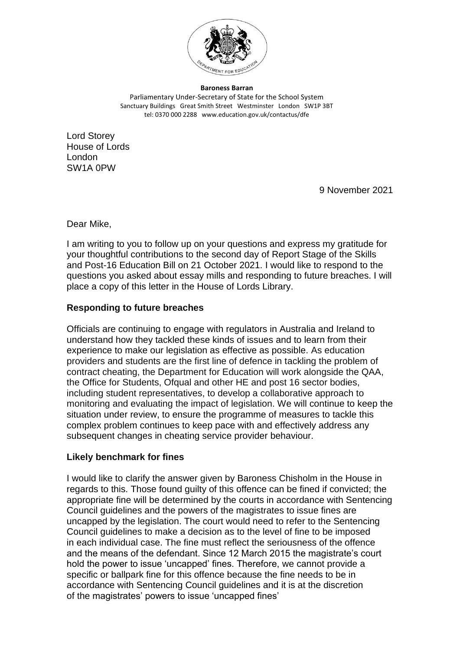

**Baroness Barran** Parliamentary Under-Secretary of State for the School System Sanctuary Buildings Great Smith Street Westminster London SW1P 3BT tel: 0370 000 2288 www.education.gov.uk/contactus/dfe

Lord Storey House of Lords London SW1A 0PW

9 November 2021

Dear Mike,

I am writing to you to follow up on your questions and express my gratitude for your thoughtful contributions to the second day of Report Stage of the Skills and Post-16 Education Bill on 21 October 2021. I would like to respond to the questions you asked about essay mills and responding to future breaches. I will place a copy of this letter in the House of Lords Library.

## **Responding to future breaches**

Officials are continuing to engage with regulators in Australia and Ireland to understand how they tackled these kinds of issues and to learn from their experience to make our legislation as effective as possible. As education providers and students are the first line of defence in tackling the problem of contract cheating, the Department for Education will work alongside the QAA, the Office for Students, Ofqual and other HE and post 16 sector bodies, including student representatives, to develop a collaborative approach to monitoring and evaluating the impact of legislation. We will continue to keep the situation under review, to ensure the programme of measures to tackle this complex problem continues to keep pace with and effectively address any subsequent changes in cheating service provider behaviour.

## **Likely benchmark for fines**

I would like to clarify the answer given by Baroness Chisholm in the House in regards to this. Those found guilty of this offence can be fined if convicted; the appropriate fine will be determined by the courts in accordance with Sentencing Council guidelines and the powers of the magistrates to issue fines are uncapped by the legislation. The court would need to refer to the Sentencing Council guidelines to make a decision as to the level of fine to be imposed in each individual case. The fine must reflect the seriousness of the offence and the means of the defendant. Since 12 March 2015 the magistrate's court hold the power to issue 'uncapped' fines. Therefore, we cannot provide a specific or ballpark fine for this offence because the fine needs to be in accordance with Sentencing Council guidelines and it is at the discretion of the magistrates' powers to issue 'uncapped fines'